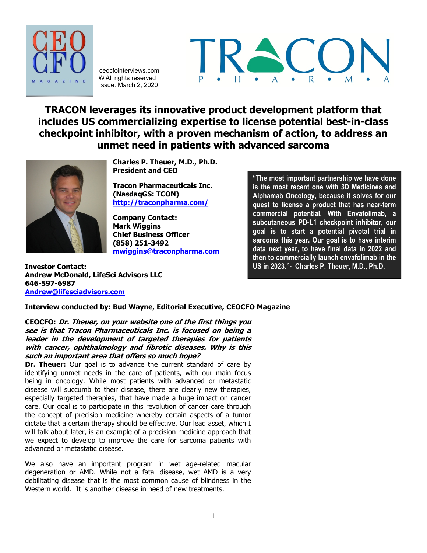

ceocfointerviews.com © All rights reserved Issue: March 2, 2020



**TRACON leverages its innovative product development platform that includes US commercializing expertise to license potential best-in-class checkpoint inhibitor, with a proven mechanism of action, to address an unmet need in patients with advanced sarcoma**



**Charles P. Theuer, M.D., Ph.D. President and CEO**

**Tracon Pharmaceuticals Inc. (NasdaqGS: TCON) <http://traconpharma.com/>**

**Company Contact: Mark Wiggins Chief Business Officer (858) 251-3492 [mwiggins@traconpharma.com](mailto:mwiggins@traconpharma.com)**

**"The most important partnership we have done is the most recent one with 3D Medicines and Alphamab Oncology, because it solves for our quest to license a product that has near-term commercial potential. With Envafolimab, a subcutaneous PD-L1 checkpoint inhibitor, our goal is to start a potential pivotal trial in sarcoma this year. Our goal is to have interim data next year, to have final data in 2022 and then to commercially launch envafolimab in the US in 2023."- Charles P. Theuer, M.D., Ph.D.**

**Investor Contact: Andrew McDonald, LifeSci Advisors LLC 646-597-6987 [Andrew@lifesciadvisors.com](mailto:Andrew@lifesciadvisors.com)**

**Interview conducted by: Bud Wayne, Editorial Executive, CEOCFO Magazine**

**CEOCFO: Dr. Theuer, on your website one of the first things you see is that Tracon Pharmaceuticals Inc. is focused on being a leader in the development of targeted therapies for patients with cancer, ophthalmology and fibrotic diseases. Why is this such an important area that offers so much hope?**

**Dr. Theuer:** Our goal is to advance the current standard of care by identifying unmet needs in the care of patients, with our main focus being in oncology. While most patients with advanced or metastatic disease will succumb to their disease, there are clearly new therapies, especially targeted therapies, that have made a huge impact on cancer care. Our goal is to participate in this revolution of cancer care through the concept of precision medicine whereby certain aspects of a tumor dictate that a certain therapy should be effective. Our lead asset, which I will talk about later, is an example of a precision medicine approach that we expect to develop to improve the care for sarcoma patients with advanced or metastatic disease.

We also have an important program in wet age-related macular degeneration or AMD. While not a fatal disease, wet AMD is a very debilitating disease that is the most common cause of blindness in the Western world. It is another disease in need of new treatments.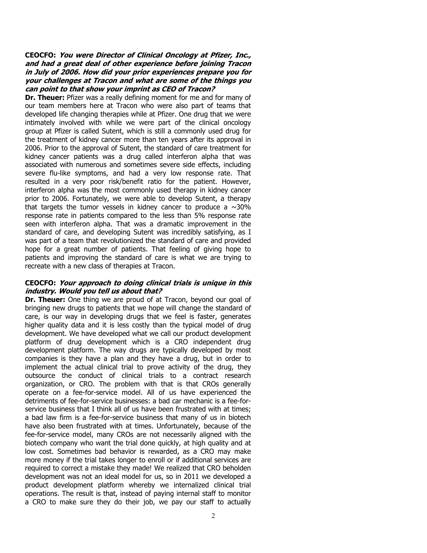#### **CEOCFO: You were Director of Clinical Oncology at Pfizer, Inc., and had a great deal of other experience before joining Tracon in July of 2006. How did your prior experiences prepare you for your challenges at Tracon and what are some of the things you can point to that show your imprint as CEO of Tracon?**

**Dr. Theuer:** Pfizer was a really defining moment for me and for many of our team members here at Tracon who were also part of teams that developed life changing therapies while at Pfizer. One drug that we were intimately involved with while we were part of the clinical oncology group at Pfizer is called Sutent, which is still a commonly used drug for the treatment of kidney cancer more than ten years after its approval in 2006. Prior to the approval of Sutent, the standard of care treatment for kidney cancer patients was a drug called interferon alpha that was associated with numerous and sometimes severe side effects, including severe flu-like symptoms, and had a very low response rate. That resulted in a very poor risk/benefit ratio for the patient. However, interferon alpha was the most commonly used therapy in kidney cancer prior to 2006. Fortunately, we were able to develop Sutent, a therapy that targets the tumor vessels in kidney cancer to produce a  $\sim$ 30% response rate in patients compared to the less than 5% response rate seen with interferon alpha. That was a dramatic improvement in the standard of care, and developing Sutent was incredibly satisfying, as I was part of a team that revolutionized the standard of care and provided hope for a great number of patients. That feeling of giving hope to patients and improving the standard of care is what we are trying to recreate with a new class of therapies at Tracon.

#### **CEOCFO: Your approach to doing clinical trials is unique in this industry. Would you tell us about that?**

**Dr. Theuer:** One thing we are proud of at Tracon, beyond our goal of bringing new drugs to patients that we hope will change the standard of care, is our way in developing drugs that we feel is faster, generates higher quality data and it is less costly than the typical model of drug development. We have developed what we call our product development platform of drug development which is a CRO independent drug development platform. The way drugs are typically developed by most companies is they have a plan and they have a drug, but in order to implement the actual clinical trial to prove activity of the drug, they outsource the conduct of clinical trials to a contract research organization, or CRO. The problem with that is that CROs generally operate on a fee-for-service model. All of us have experienced the detriments of fee-for-service businesses: a bad car mechanic is a fee-forservice business that I think all of us have been frustrated with at times; a bad law firm is a fee-for-service business that many of us in biotech have also been frustrated with at times. Unfortunately, because of the fee-for-service model, many CROs are not necessarily aligned with the biotech company who want the trial done quickly, at high quality and at low cost. Sometimes bad behavior is rewarded, as a CRO may make more money if the trial takes longer to enroll or if additional services are required to correct a mistake they made! We realized that CRO beholden development was not an ideal model for us, so in 2011 we developed a product development platform whereby we internalized clinical trial operations. The result is that, instead of paying internal staff to monitor a CRO to make sure they do their job, we pay our staff to actually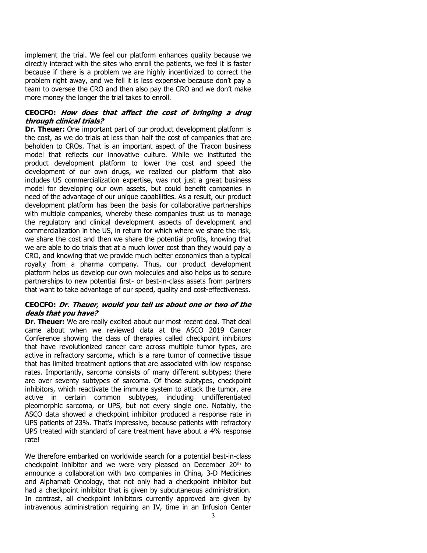implement the trial. We feel our platform enhances quality because we directly interact with the sites who enroll the patients, we feel it is faster because if there is a problem we are highly incentivized to correct the problem right away, and we fell it is less expensive because don't pay a team to oversee the CRO and then also pay the CRO and we don't make more money the longer the trial takes to enroll.

# **CEOCFO: How does that affect the cost of bringing a drug through clinical trials?**

**Dr. Theuer:** One important part of our product development platform is the cost, as we do trials at less than half the cost of companies that are beholden to CROs. That is an important aspect of the Tracon business model that reflects our innovative culture. While we instituted the product development platform to lower the cost and speed the development of our own drugs, we realized our platform that also includes US commercialization expertise, was not just a great business model for developing our own assets, but could benefit companies in need of the advantage of our unique capabilities. As a result, our product development platform has been the basis for collaborative partnerships with multiple companies, whereby these companies trust us to manage the regulatory and clinical development aspects of development and commercialization in the US, in return for which where we share the risk, we share the cost and then we share the potential profits, knowing that we are able to do trials that at a much lower cost than they would pay a CRO, and knowing that we provide much better economics than a typical royalty from a pharma company. Thus, our product development platform helps us develop our own molecules and also helps us to secure partnerships to new potential first- or best-in-class assets from partners that want to take advantage of our speed, quality and cost-effectiveness.

#### **CEOCFO: Dr. Theuer, would you tell us about one or two of the deals that you have?**

**Dr. Theuer:** We are really excited about our most recent deal. That deal came about when we reviewed data at the ASCO 2019 Cancer Conference showing the class of therapies called checkpoint inhibitors that have revolutionized cancer care across multiple tumor types, are active in refractory sarcoma, which is a rare tumor of connective tissue that has limited treatment options that are associated with low response rates. Importantly, sarcoma consists of many different subtypes; there are over seventy subtypes of sarcoma. Of those subtypes, checkpoint inhibitors, which reactivate the immune system to attack the tumor, are active in certain common subtypes, including undifferentiated pleomorphic sarcoma, or UPS, but not every single one. Notably, the ASCO data showed a checkpoint inhibitor produced a response rate in UPS patients of 23%. That's impressive, because patients with refractory UPS treated with standard of care treatment have about a 4% response rate!

We therefore embarked on worldwide search for a potential best-in-class checkpoint inhibitor and we were very pleased on December 20th to announce a collaboration with two companies in China, 3-D Medicines and Alphamab Oncology, that not only had a checkpoint inhibitor but had a checkpoint inhibitor that is given by subcutaneous administration. In contrast, all checkpoint inhibitors currently approved are given by intravenous administration requiring an IV, time in an Infusion Center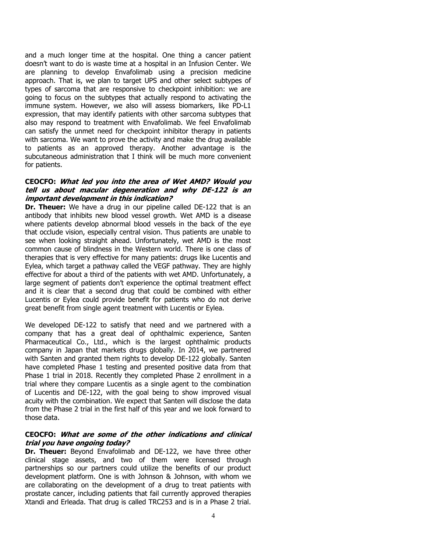and a much longer time at the hospital. One thing a cancer patient doesn't want to do is waste time at a hospital in an Infusion Center. We are planning to develop Envafolimab using a precision medicine approach. That is, we plan to target UPS and other select subtypes of types of sarcoma that are responsive to checkpoint inhibition: we are going to focus on the subtypes that actually respond to activating the immune system. However, we also will assess biomarkers, like PD-L1 expression, that may identify patients with other sarcoma subtypes that also may respond to treatment with Envafolimab. We feel Envafolimab can satisfy the unmet need for checkpoint inhibitor therapy in patients with sarcoma. We want to prove the activity and make the drug available to patients as an approved therapy. Another advantage is the subcutaneous administration that I think will be much more convenient for patients.

#### **CEOCFO: What led you into the area of Wet AMD? Would you tell us about macular degeneration and why DE-122 is an important development in this indication?**

**Dr. Theuer:** We have a drug in our pipeline called DE-122 that is an antibody that inhibits new blood vessel growth. Wet AMD is a disease where patients develop abnormal blood vessels in the back of the eye that occlude vision, especially central vision. Thus patients are unable to see when looking straight ahead. Unfortunately, wet AMD is the most common cause of blindness in the Western world. There is one class of therapies that is very effective for many patients: drugs like Lucentis and Eylea, which target a pathway called the VEGF pathway. They are highly effective for about a third of the patients with wet AMD. Unfortunately, a large segment of patients don't experience the optimal treatment effect and it is clear that a second drug that could be combined with either Lucentis or Eylea could provide benefit for patients who do not derive great benefit from single agent treatment with Lucentis or Eylea.

We developed DE-122 to satisfy that need and we partnered with a company that has a great deal of ophthalmic experience, Santen Pharmaceutical Co., Ltd., which is the largest ophthalmic products company in Japan that markets drugs globally. In 2014, we partnered with Santen and granted them rights to develop DE-122 globally. Santen have completed Phase 1 testing and presented positive data from that Phase 1 trial in 2018. Recently they completed Phase 2 enrollment in a trial where they compare Lucentis as a single agent to the combination of Lucentis and DE-122, with the goal being to show improved visual acuity with the combination. We expect that Santen will disclose the data from the Phase 2 trial in the first half of this year and we look forward to those data.

# **CEOCFO: What are some of the other indications and clinical trial you have ongoing today?**

**Dr. Theuer:** Beyond Envafolimab and DE-122, we have three other clinical stage assets, and two of them were licensed through partnerships so our partners could utilize the benefits of our product development platform. One is with Johnson & Johnson, with whom we are collaborating on the development of a drug to treat patients with prostate cancer, including patients that fail currently approved therapies Xtandi and Erleada. That drug is called TRC253 and is in a Phase 2 trial.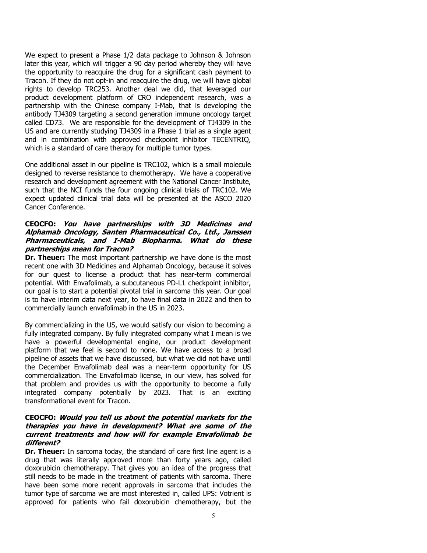We expect to present a Phase 1/2 data package to Johnson & Johnson later this year, which will trigger a 90 day period whereby they will have the opportunity to reacquire the drug for a significant cash payment to Tracon. If they do not opt-in and reacquire the drug, we will have global rights to develop TRC253. Another deal we did, that leveraged our product development platform of CRO independent research, was a partnership with the Chinese company I-Mab, that is developing the antibody TJ4309 targeting a second generation immune oncology target called CD73. We are responsible for the development of TJ4309 in the US and are currently studying TJ4309 in a Phase 1 trial as a single agent and in combination with approved checkpoint inhibitor TECENTRIQ, which is a standard of care therapy for multiple tumor types.

One additional asset in our pipeline is TRC102, which is a small molecule designed to reverse resistance to chemotherapy. We have a cooperative research and development agreement with the National Cancer Institute, such that the NCI funds the four ongoing clinical trials of TRC102. We expect updated clinical trial data will be presented at the ASCO 2020 Cancer Conference.

# **CEOCFO: You have partnerships with 3D Medicines and Alphamab Oncology, Santen Pharmaceutical Co., Ltd., Janssen Pharmaceuticals, and I-Mab Biopharma. What do these partnerships mean for Tracon?**

**Dr. Theuer:** The most important partnership we have done is the most recent one with 3D Medicines and Alphamab Oncology, because it solves for our quest to license a product that has near-term commercial potential. With Envafolimab, a subcutaneous PD-L1 checkpoint inhibitor, our goal is to start a potential pivotal trial in sarcoma this year. Our goal is to have interim data next year, to have final data in 2022 and then to commercially launch envafolimab in the US in 2023.

By commercializing in the US, we would satisfy our vision to becoming a fully integrated company. By fully integrated company what I mean is we have a powerful developmental engine, our product development platform that we feel is second to none. We have access to a broad pipeline of assets that we have discussed, but what we did not have until the December Envafolimab deal was a near-term opportunity for US commercialization. The Envafolimab license, in our view, has solved for that problem and provides us with the opportunity to become a fully integrated company potentially by 2023. That is an exciting transformational event for Tracon.

# **CEOCFO: Would you tell us about the potential markets for the therapies you have in development? What are some of the current treatments and how will for example Envafolimab be different?**

**Dr. Theuer:** In sarcoma today, the standard of care first line agent is a drug that was literally approved more than forty years ago, called doxorubicin chemotherapy. That gives you an idea of the progress that still needs to be made in the treatment of patients with sarcoma. There have been some more recent approvals in sarcoma that includes the tumor type of sarcoma we are most interested in, called UPS: Votrient is approved for patients who fail doxorubicin chemotherapy, but the